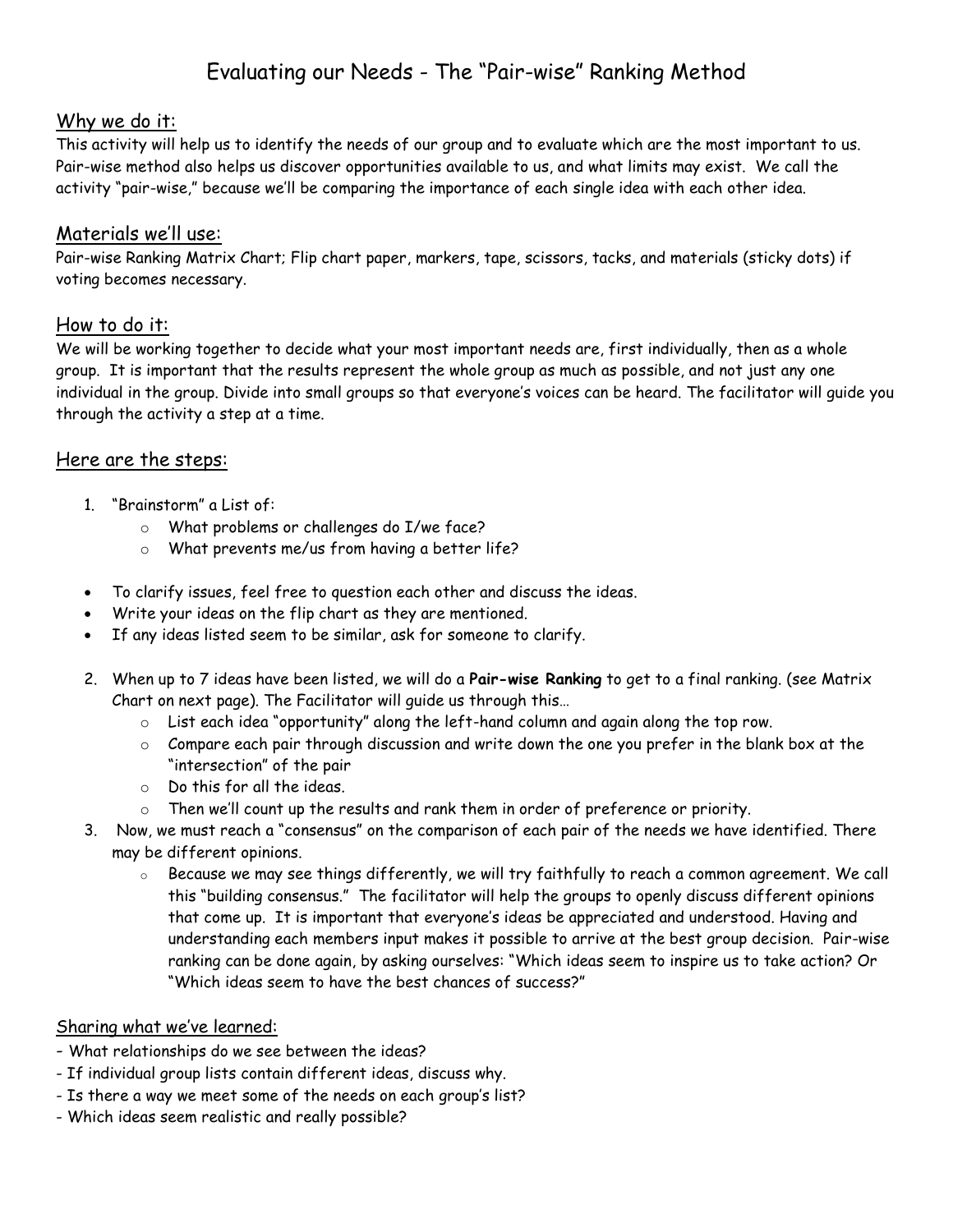## Evaluating our Needs - The "Pair-wise" Ranking Method

#### Why we do it:

This activity will help us to identify the needs of our group and to evaluate which are the most important to us. Pair-wise method also helps us discover opportunities available to us, and what limits may exist. We call the activity "pair-wise," because we'll be comparing the importance of each single idea with each other idea.

#### Materials we'll use:

Pair-wise Ranking Matrix Chart; Flip chart paper, markers, tape, scissors, tacks, and materials (sticky dots) if voting becomes necessary.

#### How to do it:

We will be working together to decide what your most important needs are, first individually, then as a whole group. It is important that the results represent the whole group as much as possible, and not just any one individual in the group. Divide into small groups so that everyone's voices can be heard. The facilitator will guide you through the activity a step at a time.

### Here are the steps:

- 1. "Brainstorm" a List of:
	- o What problems or challenges do I/we face?
	- o What prevents me/us from having a better life?
- To clarify issues, feel free to question each other and discuss the ideas.
- Write your ideas on the flip chart as they are mentioned.
- If any ideas listed seem to be similar, ask for someone to clarify.
- 2. When up to 7 ideas have been listed, we will do a **Pair-wise Ranking** to get to a final ranking. (see Matrix Chart on next page). The Facilitator will guide us through this…
	- $\circ$  List each idea "opportunity" along the left-hand column and again along the top row.
	- o Compare each pair through discussion and write down the one you prefer in the blank box at the "intersection" of the pair
	- o Do this for all the ideas.
	- $\circ$  Then we'll count up the results and rank them in order of preference or priority.
- 3. Now, we must reach a "consensus" on the comparison of each pair of the needs we have identified. There may be different opinions.
	- $\circ$  Because we may see things differently, we will try faithfully to reach a common agreement. We call this "building consensus." The facilitator will help the groups to openly discuss different opinions that come up. It is important that everyone's ideas be appreciated and understood. Having and understanding each members input makes it possible to arrive at the best group decision. Pair-wise ranking can be done again, by asking ourselves: "Which ideas seem to inspire us to take action? Or "Which ideas seem to have the best chances of success?"

#### Sharing what we've learned:

- What relationships do we see between the ideas?
- If individual group lists contain different ideas, discuss why.
- Is there a way we meet some of the needs on each group's list?
- Which ideas seem realistic and really possible?